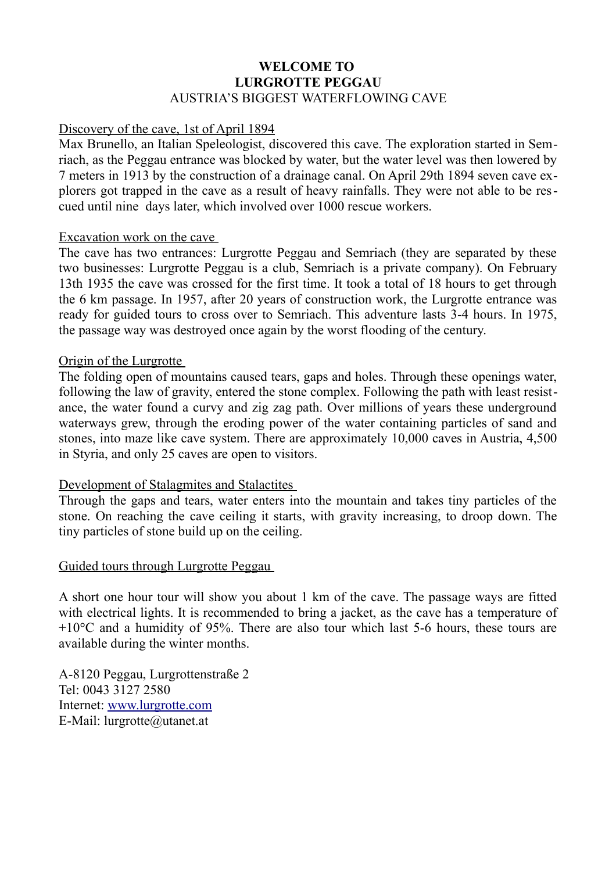# **WELCOME TO LURGROTTE PEGGAU** AUSTRIA'S BIGGEST WATERFLOWING CAVE

### Discovery of the cave, 1st of April 1894

Max Brunello, an Italian Speleologist, discovered this cave. The exploration started in Semriach, as the Peggau entrance was blocked by water, but the water level was then lowered by 7 meters in 1913 by the construction of a drainage canal. On April 29th 1894 seven cave explorers got trapped in the cave as a result of heavy rainfalls. They were not able to be rescued until nine days later, which involved over 1000 rescue workers.

#### Excavation work on the cave

The cave has two entrances: Lurgrotte Peggau and Semriach (they are separated by these two businesses: Lurgrotte Peggau is a club, Semriach is a private company). On February 13th 1935 the cave was crossed for the first time. It took a total of 18 hours to get through the 6 km passage. In 1957, after 20 years of construction work, the Lurgrotte entrance was ready for guided tours to cross over to Semriach. This adventure lasts 3-4 hours. In 1975, the passage way was destroyed once again by the worst flooding of the century.

#### Origin of the Lurgrotte

The folding open of mountains caused tears, gaps and holes. Through these openings water, following the law of gravity, entered the stone complex. Following the path with least resistance, the water found a curvy and zig zag path. Over millions of years these underground waterways grew, through the eroding power of the water containing particles of sand and stones, into maze like cave system. There are approximately 10,000 caves in Austria, 4,500 in Styria, and only 25 caves are open to visitors.

# Development of Stalagmites and Stalactites

Through the gaps and tears, water enters into the mountain and takes tiny particles of the stone. On reaching the cave ceiling it starts, with gravity increasing, to droop down. The tiny particles of stone build up on the ceiling.

#### Guided tours through Lurgrotte Peggau

A short one hour tour will show you about 1 km of the cave. The passage ways are fitted with electrical lights. It is recommended to bring a jacket, as the cave has a temperature of  $+10^{\circ}$ C and a humidity of 95%. There are also tour which last 5-6 hours, these tours are available during the winter months.

A-8120 Peggau, Lurgrottenstraße 2 Tel: 0043 3127 2580 Internet: [www.lurgrotte.com](http://www.lurgrotte.com/) E-Mail: lurgrotte@utanet.at